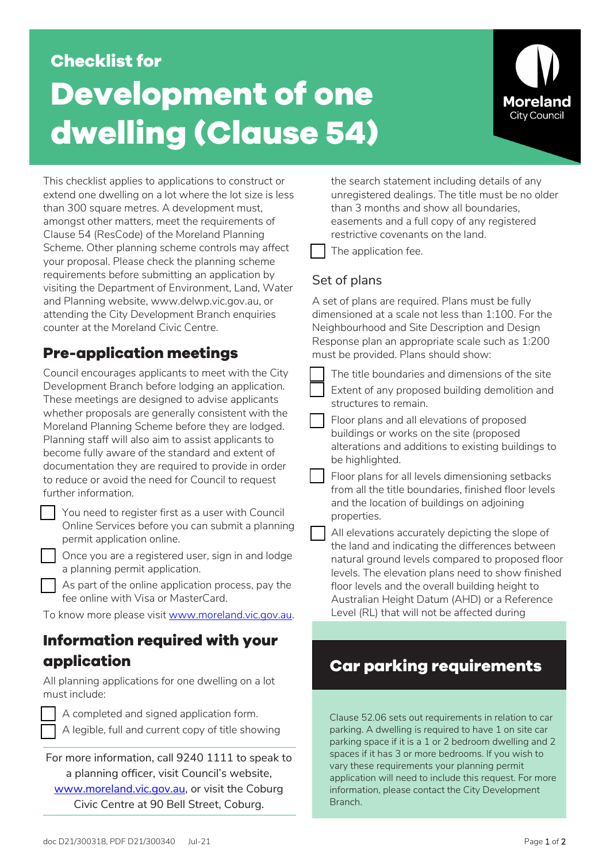# **Checklist for Development of one dwelling (Clause 54)**



This checklist applies to applications to construct or extend one dwelling on a lot where the lot size is less than 300 square metres. A development must, amongst other matters, meet the requirements of Clause 54 (ResCode) of the Moreland Planning Scheme. Other planning scheme controls may affect your proposal. Please check the planning scheme requirements before submitting an application by visiting the Department of Environment, Land, Water and Planning website, www.delwp.vic.gov.au, or attending the City Development Branch enquiries counter at the Moreland Civic Centre.

## **Pre-application meetings**

Council encourages applicants to meet with the City Development Branch before lodging an application. These meetings are designed to advise applicants whether proposals are generally consistent with the Moreland Planning Scheme before they are lodged. Planning staff will also aim to assist applicants to become fully aware of the standard and extent of documentation they are required to provide in order to reduce or avoid the need for Council to request further information.

 You need to register first as a user with Council Online Services before you can submit a planning permit application online.

 Once you are a registered user, sign in and lodge a planning permit application.

 As part of the online application process, pay the fee online with Visa or MasterCard.

To know more please visit www.moreland.vic.gov.au.

## **Information required with your application**

All planning applications for one dwelling on a lot must include:

 A completed and signed application form. A legible, full and current copy of title showing

For more information, call 9240 1111 to speak to a planning officer, visit Council's website, [www.moreland.vic.gov.au,](http://www.moreland.vic.gov.au/) or visit the Coburg Civic Centre at 90 Bell Street, Coburg.

the search statement including details of any unregistered dealings. The title must be no older than 3 months and show all boundaries, easements and a full copy of any registered restrictive covenants on the land.

The application fee.

## Set of plans

A set of plans are required. Plans must be fully dimensioned at a scale not less than 1:100. For the Neighbourhood and Site Description and Design Response plan an appropriate scale such as 1:200 must be provided. Plans should show:

The title boundaries and dimensions of the site

 Extent of any proposed building demolition and structures to remain.

 Floor plans and all elevations of proposed buildings or works on the site (proposed alterations and additions to existing buildings to be highlighted.

 Floor plans for all levels dimensioning setbacks from all the title boundaries, finished floor levels and the location of buildings on adjoining properties.

| All elevations accurately depicting the slope of  |
|---------------------------------------------------|
| the land and indicating the differences between   |
| natural ground levels compared to proposed floor  |
| levels. The elevation plans need to show finished |
| floor levels and the overall building height to   |
| Australian Height Datum (AHD) or a Reference      |
| Level (RL) that will not be affected during       |
|                                                   |

## **Car parking requirements**

Clause 52.06 sets out requirements in relation to car parking. A dwelling is required to have 1 on site car parking space if it is a 1 or 2 bedroom dwelling and 2 spaces if it has 3 or more bedrooms. If you wish to vary these requirements your planning permit application will need to include this request. For more information, please contact the City Development Branch.